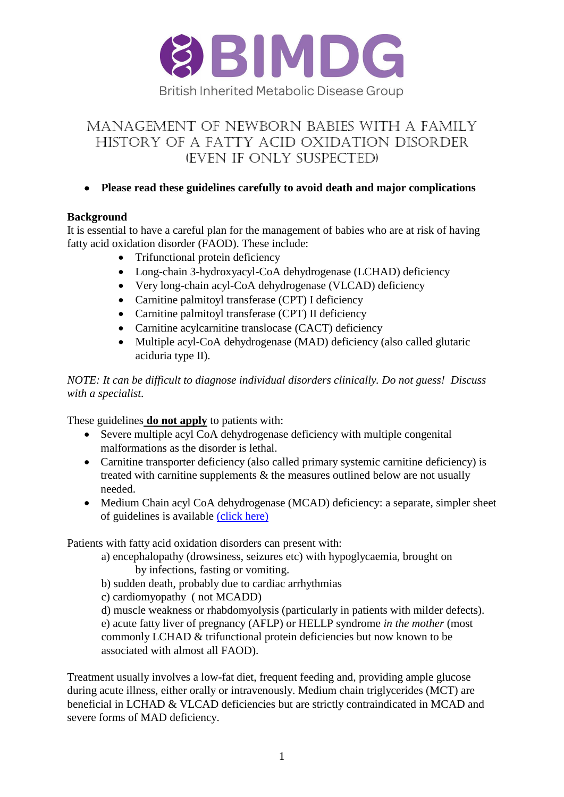

# Management of newborn babies with a family history of a fatty acid oxidation disorder (even if only suspected)

# **Please read these guidelines carefully to avoid death and major complications**

### **Background**

It is essential to have a careful plan for the management of babies who are at risk of having fatty acid oxidation disorder (FAOD). These include:

- Trifunctional protein deficiency
- Long-chain 3-hydroxyacyl-CoA dehydrogenase (LCHAD) deficiency
- Very long-chain acyl-CoA dehydrogenase (VLCAD) deficiency
- Carnitine palmitoyl transferase (CPT) I deficiency
- Carnitine palmitoyl transferase (CPT) II deficiency
- Carnitine acylcarnitine translocase (CACT) deficiency
- Multiple acyl-CoA dehydrogenase (MAD) deficiency (also called glutaric aciduria type II).

### *NOTE: It can be difficult to diagnose individual disorders clinically. Do not guess! Discuss with a specialist.*

These guidelines **do not apply** to patients with:

- Severe multiple acyl CoA dehydrogenase deficiency with multiple congenital malformations as the disorder is lethal.
- Carnitine transporter deficiency (also called primary systemic carnitine deficiency) is treated with carnitine supplements & the measures outlined below are not usually needed.
- Medium Chain acyl CoA dehydrogenase (MCAD) deficiency: a separate, simpler sheet of guidelines is available [\(click here\)](http://www.bimdg.org.uk/store/guidelines/MCADD_Dietary_BIMDG_babies_2015v0_7_742847_13052015.pdf)

Patients with fatty acid oxidation disorders can present with:

a) encephalopathy (drowsiness, seizures etc) with hypoglycaemia, brought on by infections, fasting or vomiting.

b) sudden death, probably due to cardiac arrhythmias

c) cardiomyopathy ( not MCADD)

d) muscle weakness or rhabdomyolysis (particularly in patients with milder defects). e) acute fatty liver of pregnancy (AFLP) or HELLP syndrome *in the mother* (most commonly LCHAD & trifunctional protein deficiencies but now known to be associated with almost all FAOD).

Treatment usually involves a low-fat diet, frequent feeding and, providing ample glucose during acute illness, either orally or intravenously. Medium chain triglycerides (MCT) are beneficial in LCHAD & VLCAD deficiencies but are strictly contraindicated in MCAD and severe forms of MAD deficiency.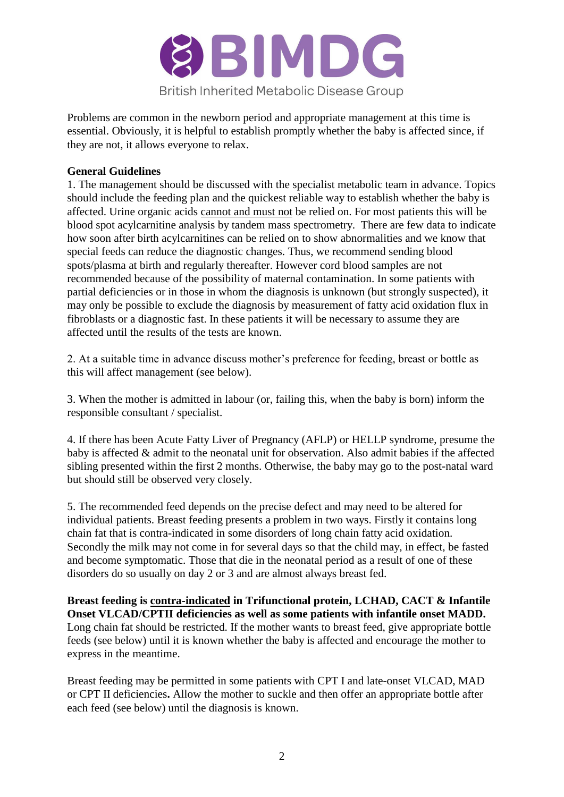

Problems are common in the newborn period and appropriate management at this time is essential. Obviously, it is helpful to establish promptly whether the baby is affected since, if they are not, it allows everyone to relax.

### **General Guidelines**

1. The management should be discussed with the specialist metabolic team in advance. Topics should include the feeding plan and the quickest reliable way to establish whether the baby is affected. Urine organic acids cannot and must not be relied on. For most patients this will be blood spot acylcarnitine analysis by tandem mass spectrometry. There are few data to indicate how soon after birth acylcarnitines can be relied on to show abnormalities and we know that special feeds can reduce the diagnostic changes. Thus, we recommend sending blood spots/plasma at birth and regularly thereafter. However cord blood samples are not recommended because of the possibility of maternal contamination. In some patients with partial deficiencies or in those in whom the diagnosis is unknown (but strongly suspected), it may only be possible to exclude the diagnosis by measurement of fatty acid oxidation flux in fibroblasts or a diagnostic fast. In these patients it will be necessary to assume they are affected until the results of the tests are known.

2. At a suitable time in advance discuss mother's preference for feeding, breast or bottle as this will affect management (see below).

3. When the mother is admitted in labour (or, failing this, when the baby is born) inform the responsible consultant / specialist.

4. If there has been Acute Fatty Liver of Pregnancy (AFLP) or HELLP syndrome, presume the baby is affected & admit to the neonatal unit for observation. Also admit babies if the affected sibling presented within the first 2 months. Otherwise, the baby may go to the post-natal ward but should still be observed very closely.

5. The recommended feed depends on the precise defect and may need to be altered for individual patients. Breast feeding presents a problem in two ways. Firstly it contains long chain fat that is contra-indicated in some disorders of long chain fatty acid oxidation. Secondly the milk may not come in for several days so that the child may, in effect, be fasted and become symptomatic. Those that die in the neonatal period as a result of one of these disorders do so usually on day 2 or 3 and are almost always breast fed.

**Breast feeding is contra-indicated in Trifunctional protein, LCHAD, CACT & Infantile Onset VLCAD/CPTII deficiencies as well as some patients with infantile onset MADD.** Long chain fat should be restricted. If the mother wants to breast feed, give appropriate bottle feeds (see below) until it is known whether the baby is affected and encourage the mother to express in the meantime.

Breast feeding may be permitted in some patients with CPT I and late-onset VLCAD, MAD or CPT II deficiencies**.** Allow the mother to suckle and then offer an appropriate bottle after each feed (see below) until the diagnosis is known.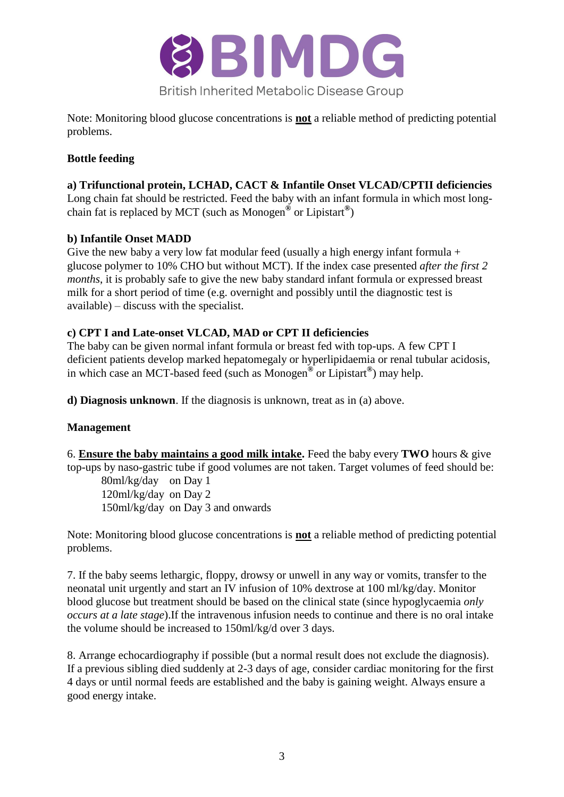

Note: Monitoring blood glucose concentrations is **not** a reliable method of predicting potential problems.

# **Bottle feeding**

# **a) Trifunctional protein, LCHAD, CACT & Infantile Onset VLCAD/CPTII deficiencies**

Long chain fat should be restricted. Feed the baby with an infant formula in which most longchain fat is replaced by MCT (such as Monogen**®** or Lipistart**®** )

# **b) Infantile Onset MADD**

Give the new baby a very low fat modular feed (usually a high energy infant formula  $+$ glucose polymer to 10% CHO but without MCT). If the index case presented *after the first 2 months*, it is probably safe to give the new baby standard infant formula or expressed breast milk for a short period of time (e.g. overnight and possibly until the diagnostic test is available) – discuss with the specialist.

# **c) CPT I and Late-onset VLCAD, MAD or CPT II deficiencies**

The baby can be given normal infant formula or breast fed with top-ups. A few CPT I deficient patients develop marked hepatomegaly or hyperlipidaemia or renal tubular acidosis, in which case an MCT-based feed (such as Monogen**®** or Lipistart**®** ) may help.

**d) Diagnosis unknown**. If the diagnosis is unknown, treat as in (a) above.

# **Management**

6. **Ensure the baby maintains a good milk intake.** Feed the baby every **TWO** hours & give top-ups by naso-gastric tube if good volumes are not taken. Target volumes of feed should be:

80ml/kg/day on Day 1 120ml/kg/day on Day 2 150ml/kg/day on Day 3 and onwards

Note: Monitoring blood glucose concentrations is **not** a reliable method of predicting potential problems.

7. If the baby seems lethargic, floppy, drowsy or unwell in any way or vomits, transfer to the neonatal unit urgently and start an IV infusion of 10% dextrose at 100 ml/kg/day. Monitor blood glucose but treatment should be based on the clinical state (since hypoglycaemia *only occurs at a late stage*).If the intravenous infusion needs to continue and there is no oral intake the volume should be increased to 150ml/kg/d over 3 days.

8. Arrange echocardiography if possible (but a normal result does not exclude the diagnosis). If a previous sibling died suddenly at 2-3 days of age, consider cardiac monitoring for the first 4 days or until normal feeds are established and the baby is gaining weight. Always ensure a good energy intake.